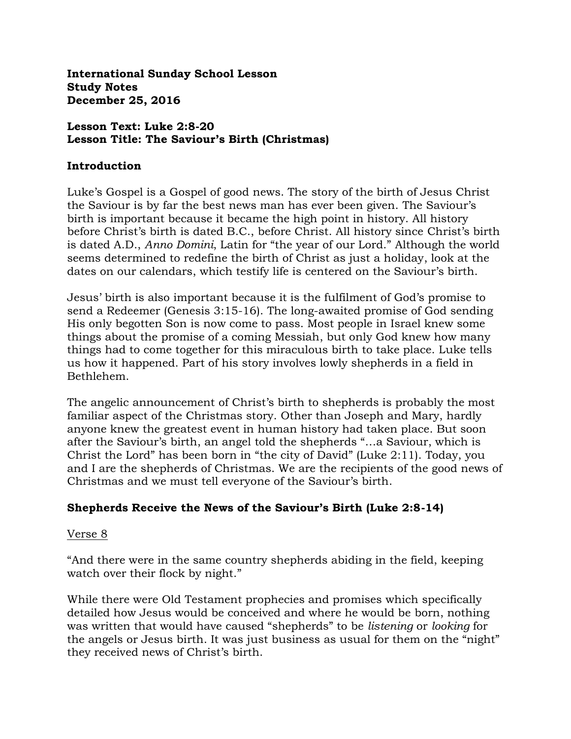**International Sunday School Lesson Study Notes December 25, 2016** 

### **Lesson Text: Luke 2:8-20 Lesson Title: The Saviour's Birth (Christmas)**

### **Introduction**

Luke's Gospel is a Gospel of good news. The story of the birth of Jesus Christ the Saviour is by far the best news man has ever been given. The Saviour's birth is important because it became the high point in history. All history before Christ's birth is dated B.C., before Christ. All history since Christ's birth is dated A.D., *Anno Domini*, Latin for "the year of our Lord." Although the world seems determined to redefine the birth of Christ as just a holiday, look at the dates on our calendars, which testify life is centered on the Saviour's birth.

Jesus' birth is also important because it is the fulfilment of God's promise to send a Redeemer (Genesis 3:15-16). The long-awaited promise of God sending His only begotten Son is now come to pass. Most people in Israel knew some things about the promise of a coming Messiah, but only God knew how many things had to come together for this miraculous birth to take place. Luke tells us how it happened. Part of his story involves lowly shepherds in a field in Bethlehem.

The angelic announcement of Christ's birth to shepherds is probably the most familiar aspect of the Christmas story. Other than Joseph and Mary, hardly anyone knew the greatest event in human history had taken place. But soon after the Saviour's birth, an angel told the shepherds "…a Saviour, which is Christ the Lord" has been born in "the city of David" (Luke 2:11). Today, you and I are the shepherds of Christmas. We are the recipients of the good news of Christmas and we must tell everyone of the Saviour's birth.

### **Shepherds Receive the News of the Saviour's Birth (Luke 2:8-14)**

### Verse 8

"And there were in the same country shepherds abiding in the field, keeping watch over their flock by night."

While there were Old Testament prophecies and promises which specifically detailed how Jesus would be conceived and where he would be born, nothing was written that would have caused "shepherds" to be *listening* or *looking* for the angels or Jesus birth. It was just business as usual for them on the "night" they received news of Christ's birth.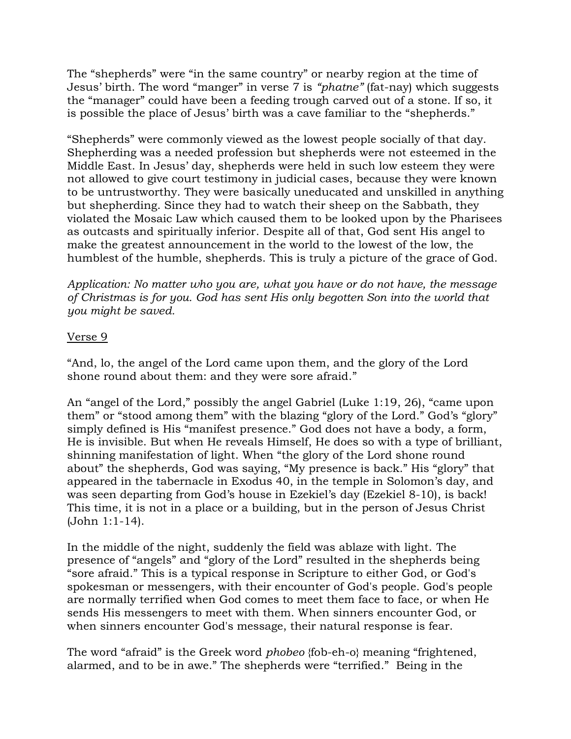The "shepherds" were "in the same country" or nearby region at the time of Jesus' birth. The word "manger" in verse 7 is *"phatne"* (fat-nay) which suggests the "manager" could have been a feeding trough carved out of a stone. If so, it is possible the place of Jesus' birth was a cave familiar to the "shepherds."

"Shepherds" were commonly viewed as the lowest people socially of that day. Shepherding was a needed profession but shepherds were not esteemed in the Middle East. In Jesus' day, shepherds were held in such low esteem they were not allowed to give court testimony in judicial cases, because they were known to be untrustworthy. They were basically uneducated and unskilled in anything but shepherding. Since they had to watch their sheep on the Sabbath, they violated the Mosaic Law which caused them to be looked upon by the Pharisees as outcasts and spiritually inferior. Despite all of that, God sent His angel to make the greatest announcement in the world to the lowest of the low, the humblest of the humble, shepherds. This is truly a picture of the grace of God.

*Application: No matter who you are, what you have or do not have, the message of Christmas is for you. God has sent His only begotten Son into the world that you might be saved.*

### Verse 9

"And, lo, the angel of the Lord came upon them, and the glory of the Lord shone round about them: and they were sore afraid."

An "angel of the Lord," possibly the angel Gabriel (Luke 1:19, 26), "came upon them" or "stood among them" with the blazing "glory of the Lord." God's "glory" simply defined is His "manifest presence." God does not have a body, a form, He is invisible. But when He reveals Himself, He does so with a type of brilliant, shinning manifestation of light. When "the glory of the Lord shone round about" the shepherds, God was saying, "My presence is back." His "glory" that appeared in the tabernacle in Exodus 40, in the temple in Solomon's day, and was seen departing from God's house in Ezekiel's day (Ezekiel 8-10), is back! This time, it is not in a place or a building, but in the person of Jesus Christ (John 1:1-14).

In the middle of the night, suddenly the field was ablaze with light. The presence of "angels" and "glory of the Lord" resulted in the shepherds being "sore afraid." This is a typical response in Scripture to either God, or God's spokesman or messengers, with their encounter of God's people. God's people are normally terrified when God comes to meet them face to face, or when He sends His messengers to meet with them. When sinners encounter God, or when sinners encounter God's message, their natural response is fear.

The word "afraid" is the Greek word *phobeo* {fob-eh-o} meaning "frightened, alarmed, and to be in awe." The shepherds were "terrified." Being in the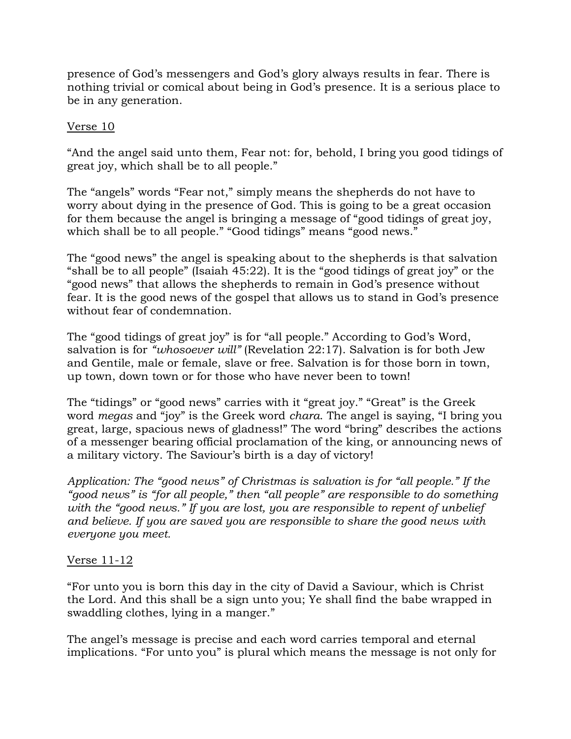presence of God's messengers and God's glory always results in fear. There is nothing trivial or comical about being in God's presence. It is a serious place to be in any generation.

### Verse 10

"And the angel said unto them, Fear not: for, behold, I bring you good tidings of great joy, which shall be to all people."

The "angels" words "Fear not," simply means the shepherds do not have to worry about dying in the presence of God. This is going to be a great occasion for them because the angel is bringing a message of "good tidings of great joy, which shall be to all people." "Good tidings" means "good news."

The "good news" the angel is speaking about to the shepherds is that salvation "shall be to all people" (Isaiah 45:22). It is the "good tidings of great joy" or the "good news" that allows the shepherds to remain in God's presence without fear. It is the good news of the gospel that allows us to stand in God's presence without fear of condemnation.

The "good tidings of great joy" is for "all people." According to God's Word, salvation is for *"whosoever will"* (Revelation 22:17). Salvation is for both Jew and Gentile, male or female, slave or free. Salvation is for those born in town, up town, down town or for those who have never been to town!

The "tidings" or "good news" carries with it "great joy." "Great" is the Greek word *megas* and "joy" is the Greek word *chara*. The angel is saying, "I bring you great, large, spacious news of gladness!" The word "bring" describes the actions of a messenger bearing official proclamation of the king, or announcing news of a military victory. The Saviour's birth is a day of victory!

*Application: The "good news" of Christmas is salvation is for "all people." If the "good news" is "for all people," then "all people" are responsible to do something with the "good news." If you are lost, you are responsible to repent of unbelief and believe. If you are saved you are responsible to share the good news with everyone you meet.*

## Verse 11-12

"For unto you is born this day in the city of David a Saviour, which is Christ the Lord. And this shall be a sign unto you; Ye shall find the babe wrapped in swaddling clothes, lying in a manger."

The angel's message is precise and each word carries temporal and eternal implications. "For unto you" is plural which means the message is not only for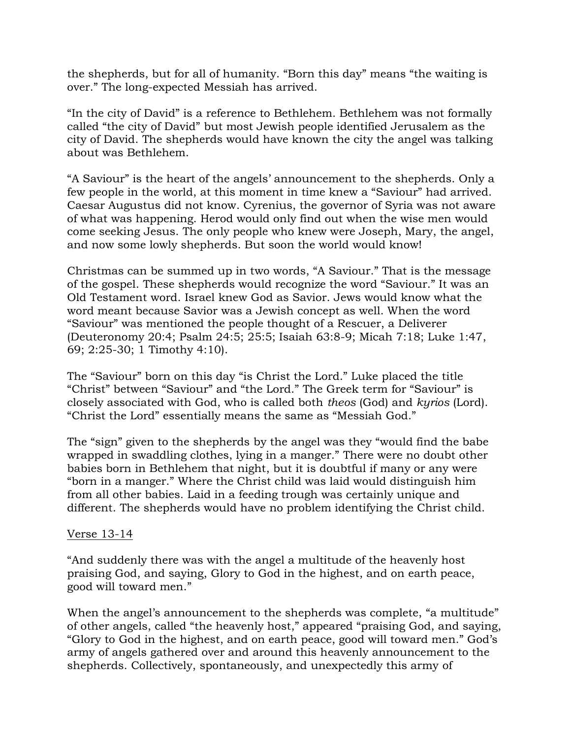the shepherds, but for all of humanity. "Born this day" means "the waiting is over." The long-expected Messiah has arrived.

"In the city of David" is a reference to Bethlehem. Bethlehem was not formally called "the city of David" but most Jewish people identified Jerusalem as the city of David. The shepherds would have known the city the angel was talking about was Bethlehem.

"A Saviour" is the heart of the angels' announcement to the shepherds. Only a few people in the world, at this moment in time knew a "Saviour" had arrived. Caesar Augustus did not know. Cyrenius, the governor of Syria was not aware of what was happening. Herod would only find out when the wise men would come seeking Jesus. The only people who knew were Joseph, Mary, the angel, and now some lowly shepherds. But soon the world would know!

Christmas can be summed up in two words, "A Saviour." That is the message of the gospel. These shepherds would recognize the word "Saviour." It was an Old Testament word. Israel knew God as Savior. Jews would know what the word meant because Savior was a Jewish concept as well. When the word "Saviour" was mentioned the people thought of a Rescuer, a Deliverer (Deuteronomy 20:4; Psalm 24:5; 25:5; Isaiah 63:8-9; Micah 7:18; Luke 1:47, 69; 2:25-30; 1 Timothy 4:10).

The "Saviour" born on this day "is Christ the Lord." Luke placed the title "Christ" between "Saviour" and "the Lord." The Greek term for "Saviour" is closely associated with God, who is called both *theos* (God) and *kyrios* (Lord). "Christ the Lord" essentially means the same as "Messiah God."

The "sign" given to the shepherds by the angel was they "would find the babe wrapped in swaddling clothes, lying in a manger." There were no doubt other babies born in Bethlehem that night, but it is doubtful if many or any were "born in a manger." Where the Christ child was laid would distinguish him from all other babies. Laid in a feeding trough was certainly unique and different. The shepherds would have no problem identifying the Christ child.

### Verse 13-14

"And suddenly there was with the angel a multitude of the heavenly host praising God, and saying, Glory to God in the highest, and on earth peace, good will toward men."

When the angel's announcement to the shepherds was complete, "a multitude" of other angels, called "the heavenly host," appeared "praising God, and saying, "Glory to God in the highest, and on earth peace, good will toward men." God's army of angels gathered over and around this heavenly announcement to the shepherds. Collectively, spontaneously, and unexpectedly this army of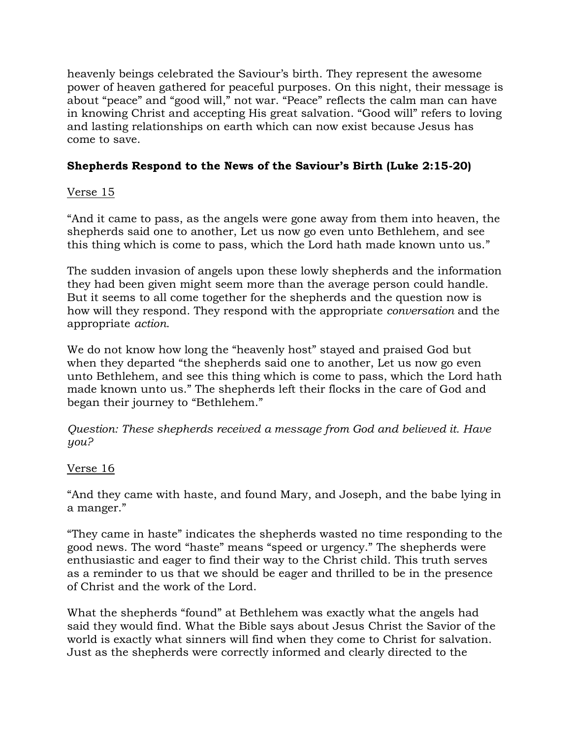heavenly beings celebrated the Saviour's birth. They represent the awesome power of heaven gathered for peaceful purposes. On this night, their message is about "peace" and "good will," not war. "Peace" reflects the calm man can have in knowing Christ and accepting His great salvation. "Good will" refers to loving and lasting relationships on earth which can now exist because Jesus has come to save.

# **Shepherds Respond to the News of the Saviour's Birth (Luke 2:15-20)**

## Verse 15

"And it came to pass, as the angels were gone away from them into heaven, the shepherds said one to another, Let us now go even unto Bethlehem, and see this thing which is come to pass, which the Lord hath made known unto us."

The sudden invasion of angels upon these lowly shepherds and the information they had been given might seem more than the average person could handle. But it seems to all come together for the shepherds and the question now is how will they respond. They respond with the appropriate *conversation* and the appropriate *action*.

We do not know how long the "heavenly host" stayed and praised God but when they departed "the shepherds said one to another, Let us now go even unto Bethlehem, and see this thing which is come to pass, which the Lord hath made known unto us." The shepherds left their flocks in the care of God and began their journey to "Bethlehem."

*Question: These shepherds received a message from God and believed it. Have you?*

# Verse 16

"And they came with haste, and found Mary, and Joseph, and the babe lying in a manger."

"They came in haste" indicates the shepherds wasted no time responding to the good news. The word "haste" means "speed or urgency." The shepherds were enthusiastic and eager to find their way to the Christ child. This truth serves as a reminder to us that we should be eager and thrilled to be in the presence of Christ and the work of the Lord.

What the shepherds "found" at Bethlehem was exactly what the angels had said they would find. What the Bible says about Jesus Christ the Savior of the world is exactly what sinners will find when they come to Christ for salvation. Just as the shepherds were correctly informed and clearly directed to the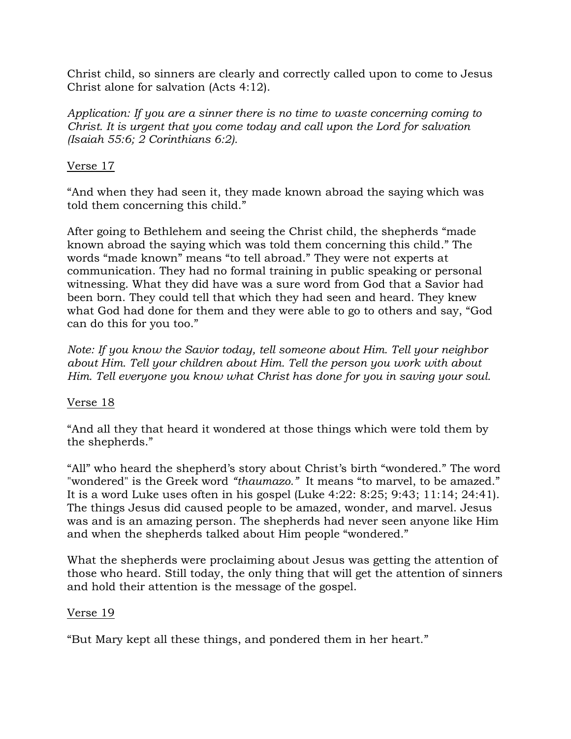Christ child, so sinners are clearly and correctly called upon to come to Jesus Christ alone for salvation (Acts 4:12).

*Application: If you are a sinner there is no time to waste concerning coming to Christ. It is urgent that you come today and call upon the Lord for salvation (Isaiah 55:6; 2 Corinthians 6:2).*

## Verse 17

"And when they had seen it, they made known abroad the saying which was told them concerning this child."

After going to Bethlehem and seeing the Christ child, the shepherds "made known abroad the saying which was told them concerning this child." The words "made known" means "to tell abroad." They were not experts at communication. They had no formal training in public speaking or personal witnessing. What they did have was a sure word from God that a Savior had been born. They could tell that which they had seen and heard. They knew what God had done for them and they were able to go to others and say, "God can do this for you too."

*Note: If you know the Savior today, tell someone about Him. Tell your neighbor about Him. Tell your children about Him. Tell the person you work with about Him. Tell everyone you know what Christ has done for you in saving your soul.*

## Verse 18

"And all they that heard it wondered at those things which were told them by the shepherds."

"All" who heard the shepherd's story about Christ's birth "wondered." The word "wondered" is the Greek word *"thaumazo."* It means "to marvel, to be amazed." It is a word Luke uses often in his gospel (Luke 4:22: 8:25; 9:43; 11:14; 24:41). The things Jesus did caused people to be amazed, wonder, and marvel. Jesus was and is an amazing person. The shepherds had never seen anyone like Him and when the shepherds talked about Him people "wondered."

What the shepherds were proclaiming about Jesus was getting the attention of those who heard. Still today, the only thing that will get the attention of sinners and hold their attention is the message of the gospel.

## Verse 19

"But Mary kept all these things, and pondered them in her heart."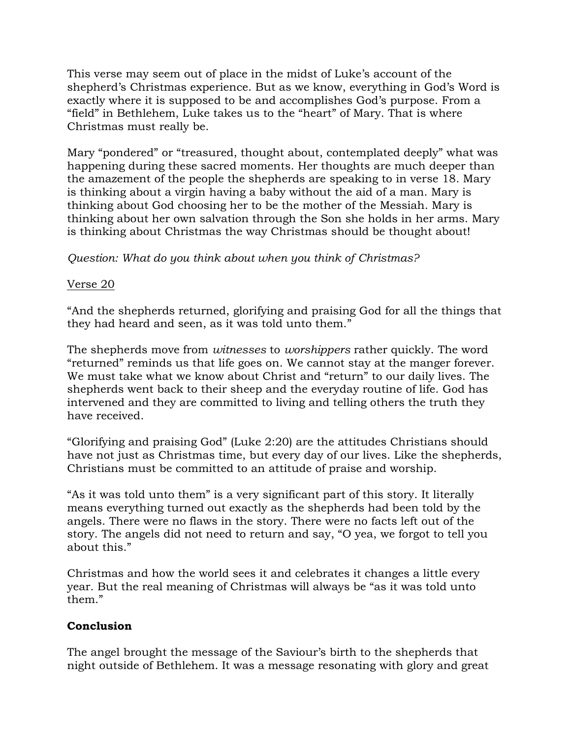This verse may seem out of place in the midst of Luke's account of the shepherd's Christmas experience. But as we know, everything in God's Word is exactly where it is supposed to be and accomplishes God's purpose. From a "field" in Bethlehem, Luke takes us to the "heart" of Mary. That is where Christmas must really be.

Mary "pondered" or "treasured, thought about, contemplated deeply" what was happening during these sacred moments. Her thoughts are much deeper than the amazement of the people the shepherds are speaking to in verse 18. Mary is thinking about a virgin having a baby without the aid of a man. Mary is thinking about God choosing her to be the mother of the Messiah. Mary is thinking about her own salvation through the Son she holds in her arms. Mary is thinking about Christmas the way Christmas should be thought about!

## *Question: What do you think about when you think of Christmas?*

### Verse 20

"And the shepherds returned, glorifying and praising God for all the things that they had heard and seen, as it was told unto them."

The shepherds move from *witnesses* to *worshippers* rather quickly. The word "returned" reminds us that life goes on. We cannot stay at the manger forever. We must take what we know about Christ and "return" to our daily lives. The shepherds went back to their sheep and the everyday routine of life. God has intervened and they are committed to living and telling others the truth they have received.

"Glorifying and praising God" (Luke 2:20) are the attitudes Christians should have not just as Christmas time, but every day of our lives. Like the shepherds, Christians must be committed to an attitude of praise and worship.

"As it was told unto them" is a very significant part of this story. It literally means everything turned out exactly as the shepherds had been told by the angels. There were no flaws in the story. There were no facts left out of the story. The angels did not need to return and say, "O yea, we forgot to tell you about this."

Christmas and how the world sees it and celebrates it changes a little every year. But the real meaning of Christmas will always be "as it was told unto them."

## **Conclusion**

The angel brought the message of the Saviour's birth to the shepherds that night outside of Bethlehem. It was a message resonating with glory and great